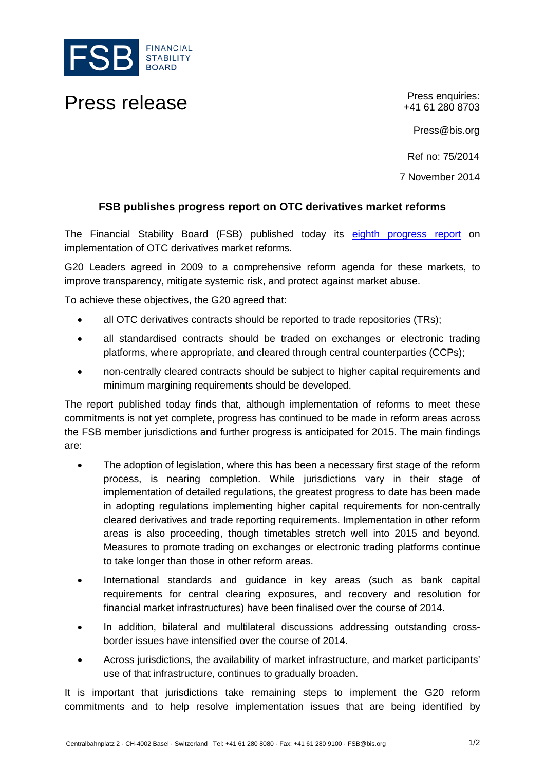

## Press release Press enquiries:

+41 61 280 8703

Press@bis.org

Ref no: 75/2014

7 November 2014

## **FSB publishes progress report on OTC derivatives market reforms**

The Financial Stability Board (FSB) published today its [eighth progress report](http://www.financialstabilityboard.org/publications/r_141107.htm) on implementation of OTC derivatives market reforms.

G20 Leaders agreed in 2009 to a comprehensive reform agenda for these markets, to improve transparency, mitigate systemic risk, and protect against market abuse.

To achieve these objectives, the G20 agreed that:

- all OTC derivatives contracts should be reported to trade repositories (TRs);
- all standardised contracts should be traded on exchanges or electronic trading platforms, where appropriate, and cleared through central counterparties (CCPs);
- non-centrally cleared contracts should be subject to higher capital requirements and minimum margining requirements should be developed.

The report published today finds that, although implementation of reforms to meet these commitments is not yet complete, progress has continued to be made in reform areas across the FSB member jurisdictions and further progress is anticipated for 2015. The main findings are:

- The adoption of legislation, where this has been a necessary first stage of the reform process, is nearing completion. While jurisdictions vary in their stage of implementation of detailed regulations, the greatest progress to date has been made in adopting regulations implementing higher capital requirements for non-centrally cleared derivatives and trade reporting requirements. Implementation in other reform areas is also proceeding, though timetables stretch well into 2015 and beyond. Measures to promote trading on exchanges or electronic trading platforms continue to take longer than those in other reform areas.
- International standards and guidance in key areas (such as bank capital requirements for central clearing exposures, and recovery and resolution for financial market infrastructures) have been finalised over the course of 2014.
- In addition, bilateral and multilateral discussions addressing outstanding crossborder issues have intensified over the course of 2014.
- Across jurisdictions, the availability of market infrastructure, and market participants' use of that infrastructure, continues to gradually broaden.

It is important that jurisdictions take remaining steps to implement the G20 reform commitments and to help resolve implementation issues that are being identified by